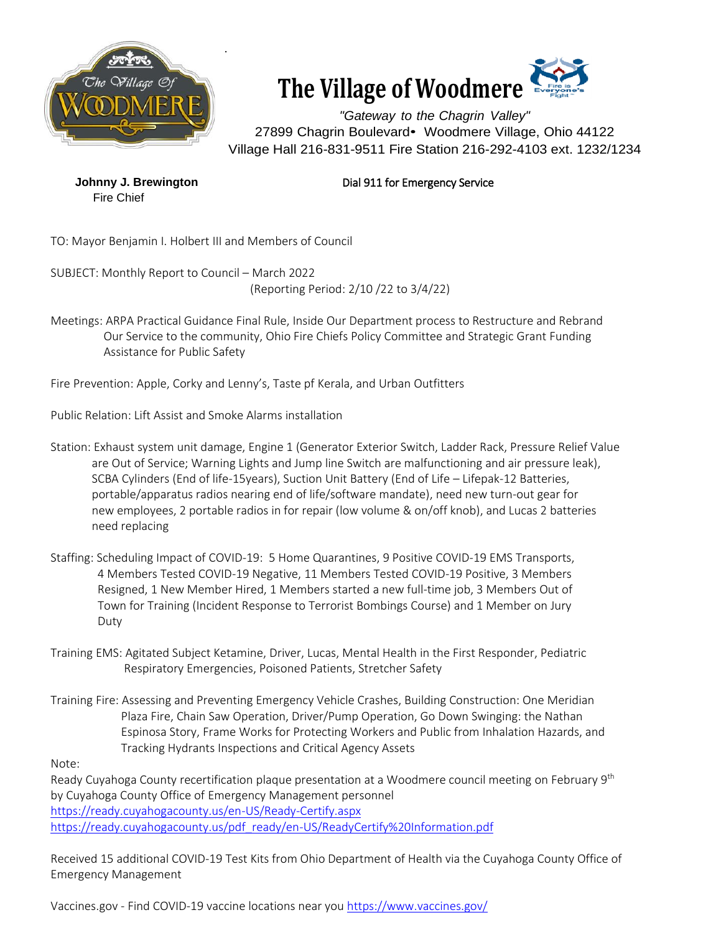



*"Gateway to the Chagrin Valley"* 27899 Chagrin Boulevard• Woodmere Village, Ohio 44122 Village Hall 216-831-9511 Fire Station 216-292-4103 ext. 1232/1234

Fire Chief

#### **Johnny J. Brewington Dial 911 for Emergency Service**

- TO: Mayor Benjamin I. Holbert III and Members of Council
- SUBJECT: Monthly Report to Council March 2022 (Reporting Period: 2/10 /22 to 3/4/22)
- Meetings: ARPA Practical Guidance Final Rule, Inside Our Department process to Restructure and Rebrand Our Service to the community, Ohio Fire Chiefs Policy Committee and Strategic Grant Funding Assistance for Public Safety

Fire Prevention: Apple, Corky and Lenny's, Taste pf Kerala, and Urban Outfitters

Public Relation: Lift Assist and Smoke Alarms installation

- Station: Exhaust system unit damage, Engine 1 (Generator Exterior Switch, Ladder Rack, Pressure Relief Value are Out of Service; Warning Lights and Jump line Switch are malfunctioning and air pressure leak), SCBA Cylinders (End of life-15years), Suction Unit Battery (End of Life – Lifepak-12 Batteries, portable/apparatus radios nearing end of life/software mandate), need new turn-out gear for new employees, 2 portable radios in for repair (low volume & on/off knob), and Lucas 2 batteries need replacing
- Staffing: Scheduling Impact of COVID-19: 5 Home Quarantines, 9 Positive COVID-19 EMS Transports, 4 Members Tested COVID-19 Negative, 11 Members Tested COVID-19 Positive, 3 Members Resigned, 1 New Member Hired, 1 Members started a new full-time job, 3 Members Out of Town for Training (Incident Response to Terrorist Bombings Course) and 1 Member on Jury Duty
- Training EMS: Agitated Subject Ketamine, Driver, Lucas, Mental Health in the First Responder, Pediatric Respiratory Emergencies, Poisoned Patients, Stretcher Safety
- Training Fire: Assessing and Preventing Emergency Vehicle Crashes, Building Construction: One Meridian Plaza Fire, Chain Saw Operation, Driver/Pump Operation, Go Down Swinging: the Nathan Espinosa Story, Frame Works for Protecting Workers and Public from Inhalation Hazards, and Tracking Hydrants Inspections and Critical Agency Assets

Note:

Ready Cuyahoga County recertification plaque presentation at a Woodmere council meeting on February 9<sup>th</sup> by Cuyahoga County Office of Emergency Management personnel <https://ready.cuyahogacounty.us/en-US/Ready-Certify.aspx> [https://ready.cuyahogacounty.us/pdf\\_ready/en-US/ReadyCertify%20Information.pdf](https://ready.cuyahogacounty.us/pdf_ready/en-US/ReadyCertify%20Information.pdf)

Received 15 additional COVID-19 Test Kits from Ohio Department of Health via the Cuyahoga County Office of Emergency Management

Vaccines.gov - Find COVID-19 vaccine locations near you<https://www.vaccines.gov/>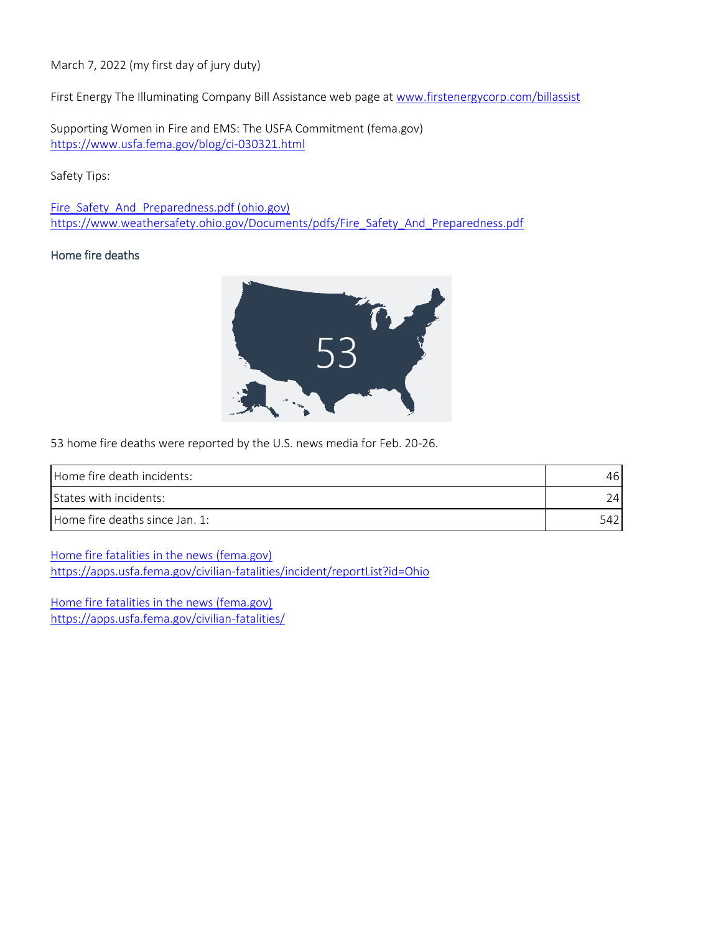March 7, 2022 (my first day of jury duty)

First Energy The Illuminating Company Bill Assistance web page at [www.firstenergycorp.com/billassist](http://www.firstenergycorp.com/billassist)

Supporting Women in Fire and EMS: The USFA Commitment (fema.gov) <https://www.usfa.fema.gov/blog/ci-030321.html>

Safety Tips:

Fire Safety And Preparedness.pdf (ohio.gov) [https://www.weathersafety.ohio.gov/Documents/pdfs/Fire\\_Safety\\_And\\_Preparedness.pdf](https://www.weathersafety.ohio.gov/Documents/pdfs/Fire_Safety_And_Preparedness.pdf)

#### Home fire deaths



53 home fire deaths were reported by the U.S. news media for Feb. 20-26.

| Home fire death incidents:     | 461  |
|--------------------------------|------|
| States with incidents:         | 74 I |
| Home fire deaths since Jan. 1: | 542  |

[Home fire fatalities in the news \(fema.gov\)](https://apps.usfa.fema.gov/civilian-fatalities/incident/reportList?id=Ohio) <https://apps.usfa.fema.gov/civilian-fatalities/incident/reportList?id=Ohio>

[Home fire fatalities in the news \(fema.gov\)](https://apps.usfa.fema.gov/civilian-fatalities/) <https://apps.usfa.fema.gov/civilian-fatalities/>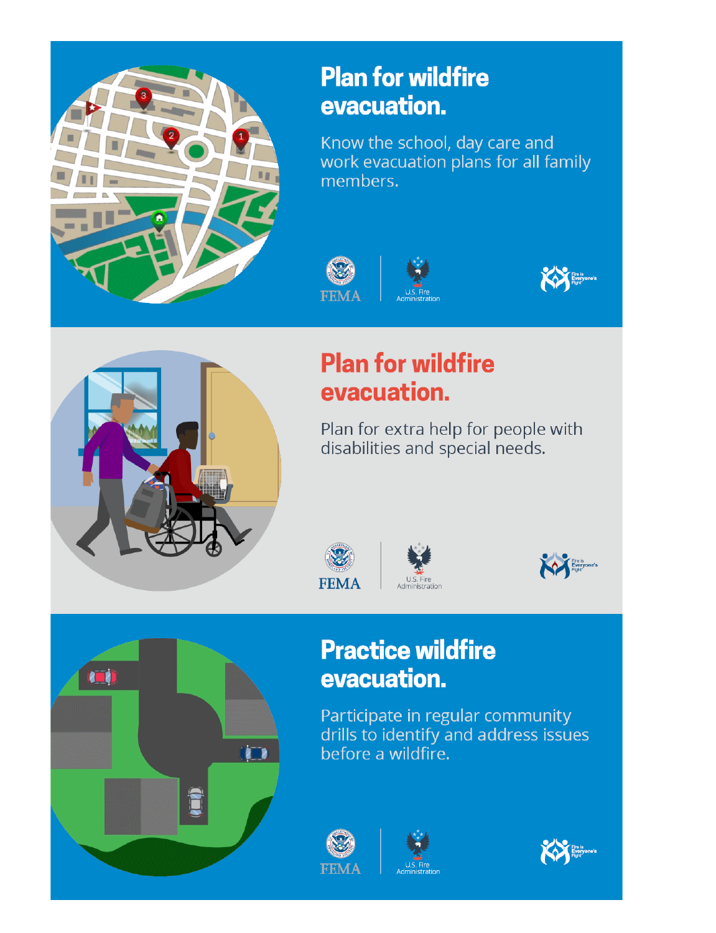

### **Plan for wildfire** evacuation.

Know the school, day care and work evacuation plans for all family members.







# **Plan for wildfire** evacuation.

Plan for extra help for people with disabilities and special needs.









# **Practice wildfire** evacuation.

Participate in regular community drills to identify and address issues before a wildfire.